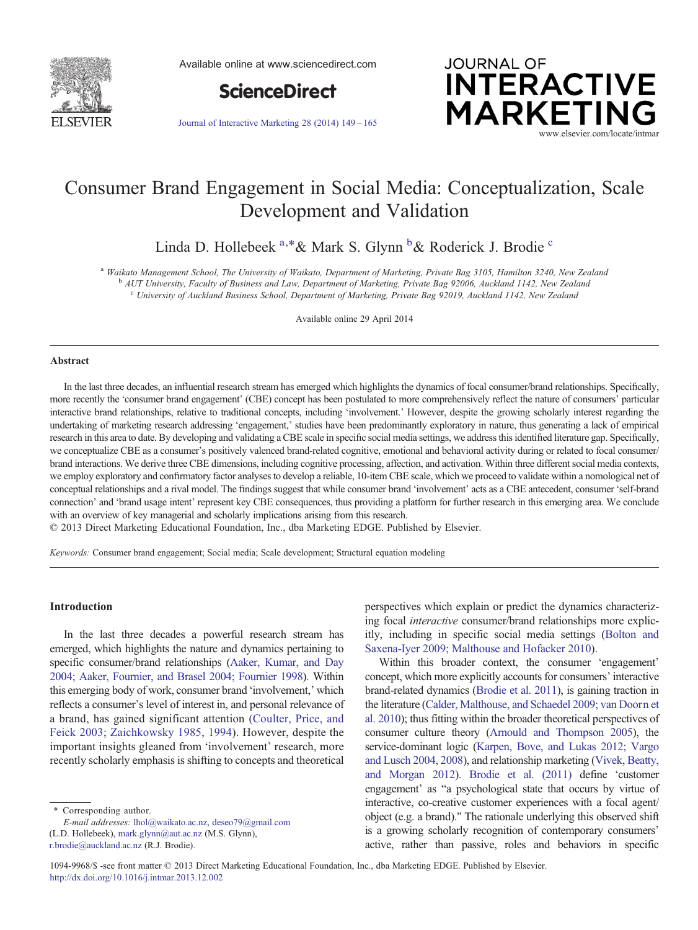

Available online at www.sciencedirect.com



[Journal of Interactive Marketing 28 \(2014\) 149](http://dx.doi.org/10.1016/j.intmar.2013.12.002)–165



# Consumer Brand Engagement in Social Media: Conceptualization, Scale Development and Validation

Linda D. Hollebeek <sup>a,\*</sup>& Mark S. Glynn <sup>b</sup>& Roderick J. Brodie <sup>c</sup>

<sup>a</sup> Waikato Management School, The University of Waikato, Department of Marketing, Private Bag 3105, Hamilton 3240, New Zealand<br><sup>b</sup> AUT University, Faculty of Business and Law, Department of Marketing, Private Bag 92006, A

<sup>c</sup> University of Auckland Business School, Department of Marketing, Private Bag 92019, Auckland 1142, New Zealand

Available online 29 April 2014

#### Abstract

In the last three decades, an influential research stream has emerged which highlights the dynamics of focal consumer/brand relationships. Specifically, more recently the 'consumer brand engagement' (CBE) concept has been postulated to more comprehensively reflect the nature of consumers' particular interactive brand relationships, relative to traditional concepts, including 'involvement.' However, despite the growing scholarly interest regarding the undertaking of marketing research addressing 'engagement,' studies have been predominantly exploratory in nature, thus generating a lack of empirical research in this area to date. By developing and validating a CBE scale in specific social media settings, we address this identified literature gap. Specifically, we conceptualize CBE as a consumer's positively valenced brand-related cognitive, emotional and behavioral activity during or related to focal consumer/ brand interactions. We derive three CBE dimensions, including cognitive processing, affection, and activation. Within three different social media contexts, we employ exploratory and confirmatory factor analyses to develop a reliable, 10-item CBE scale, which we proceed to validate within a nomological net of conceptual relationships and a rival model. The findings suggest that while consumer brand 'involvement' acts as a CBE antecedent, consumer 'self-brand connection' and 'brand usage intent' represent key CBE consequences, thus providing a platform for further research in this emerging area. We conclude with an overview of key managerial and scholarly implications arising from this research.

© 2013 Direct Marketing Educational Foundation, Inc., dba Marketing EDGE. Published by Elsevier.

Keywords: Consumer brand engagement; Social media; Scale development; Structural equation modeling

## Introduction

In the last three decades a powerful research stream has emerged, which highlights the nature and dynamics pertaining to specific consumer/brand relationships [\(Aaker, Kumar, and Day](#page--1-0) [2004; Aaker, Fournier, and Brasel 2004; Fournier 1998](#page--1-0)). Within this emerging body of work, consumer brand 'involvement,' which reflects a consumer's level of interest in, and personal relevance of a brand, has gained significant attention ([Coulter, Price, and](#page--1-0) [Feick 2003; Zaichkowsky 1985, 1994](#page--1-0)). However, despite the important insights gleaned from 'involvement' research, more recently scholarly emphasis is shifting to concepts and theoretical

⁎ Corresponding author.

E-mail addresses: [lhol@waikato.ac.nz,](mailto:lhol@waikato.ac.nz) [deseo79@gmail.com](mailto:deseo79@gmail.com) (L.D. Hollebeek), [mark.glynn@aut.ac.nz](mailto:mark.glynn@aut.ac.nz) (M.S. Glynn), [r.brodie@auckland.ac.nz](mailto:r.brodie@auckland.ac.nz) (R.J. Brodie).

perspectives which explain or predict the dynamics characterizing focal interactive consumer/brand relationships more explicitly, including in specific social media settings ([Bolton and](#page--1-0) [Saxena-Iyer 2009; Malthouse and Hofacker 2010\)](#page--1-0).

Within this broader context, the consumer 'engagement' concept, which more explicitly accounts for consumers' interactive brand-related dynamics (Brodie et al. 2011), is gaining traction in the literature [\(Calder, Malthouse, and Schaedel 2009; van Doorn et](#page--1-0) [al. 2010\)](#page--1-0); thus fitting within the broader theoretical perspectives of consumer culture theory (Arnould and Thompson 2005), the service-dominant logic [\(Karpen, Bove, and Lukas 2012; Vargo](#page--1-0) [and Lusch 2004, 2008](#page--1-0)), and relationship marketing (Vivek, Beatty, and Morgan 2012). Brodie et al. (2011) define 'customer engagement' as "a psychological state that occurs by virtue of interactive, co-creative customer experiences with a focal agent/ object (e.g. a brand)." The rationale underlying this observed shift is a growing scholarly recognition of contemporary consumers' active, rather than passive, roles and behaviors in specific

1094-9968/\$ -see front matter © 2013 Direct Marketing Educational Foundation, Inc., dba Marketing EDGE. Published by Elsevier. <http://dx.doi.org/10.1016/j.intmar.2013.12.002>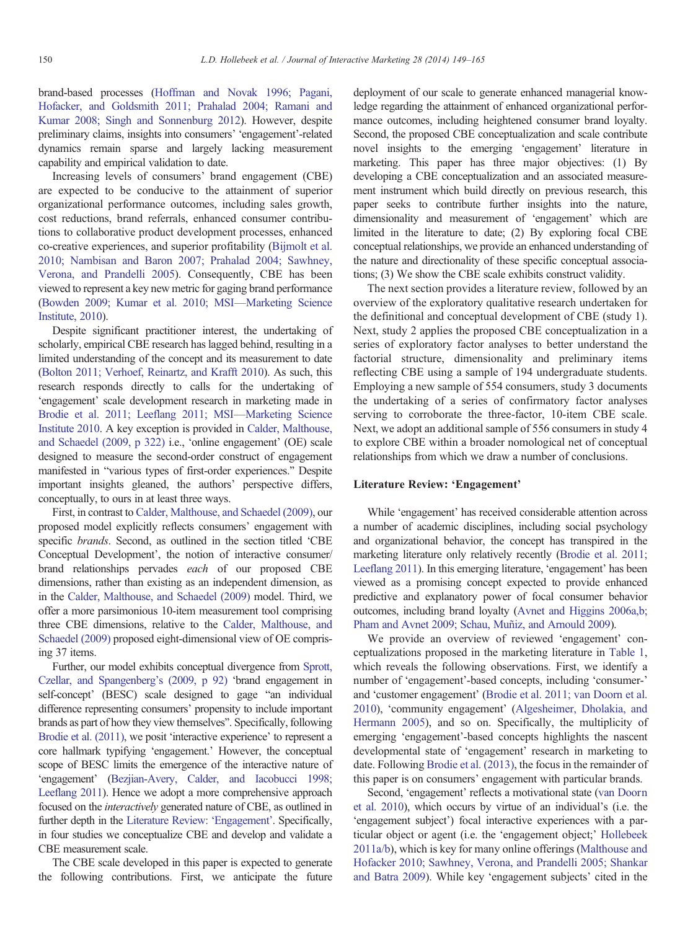brand-based processes [\(Hoffman and Novak 1996; Pagani,](#page--1-0) [Hofacker, and Goldsmith 2011; Prahalad 2004; Ramani and](#page--1-0) [Kumar 2008; Singh and Sonnenburg 2012](#page--1-0)). However, despite preliminary claims, insights into consumers' 'engagement'-related dynamics remain sparse and largely lacking measurement capability and empirical validation to date.

Increasing levels of consumers' brand engagement (CBE) are expected to be conducive to the attainment of superior organizational performance outcomes, including sales growth, cost reductions, brand referrals, enhanced consumer contributions to collaborative product development processes, enhanced co-creative experiences, and superior profitability [\(Bijmolt et al.](#page--1-0) [2010; Nambisan and Baron 2007; Prahalad 2004; Sawhney,](#page--1-0) [Verona, and Prandelli 2005](#page--1-0)). Consequently, CBE has been viewed to represent a key new metric for gaging brand performance ([Bowden 2009; Kumar et al. 2010; MSI](#page--1-0)—Marketing Science [Institute, 2010](#page--1-0)).

Despite significant practitioner interest, the undertaking of scholarly, empirical CBE research has lagged behind, resulting in a limited understanding of the concept and its measurement to date ([Bolton 2011; Verhoef, Reinartz, and Krafft 2010](#page--1-0)). As such, this research responds directly to calls for the undertaking of 'engagement' scale development research in marketing made in [Brodie et al. 2011; Leeflang 2011; MSI](#page--1-0)—Marketing Science [Institute 2010](#page--1-0). A key exception is provided in Calder, Malthouse, and Schaedel (2009, p 322) i.e., 'online engagement' (OE) scale designed to measure the second-order construct of engagement manifested in "various types of first-order experiences." Despite important insights gleaned, the authors' perspective differs, conceptually, to ours in at least three ways.

First, in contrast to Calder, Malthouse, and Schaedel (2009), our proposed model explicitly reflects consumers' engagement with specific brands. Second, as outlined in the section titled 'CBE Conceptual Development', the notion of interactive consumer/ brand relationships pervades each of our proposed CBE dimensions, rather than existing as an independent dimension, as in the Calder, Malthouse, and Schaedel (2009) model. Third, we offer a more parsimonious 10-item measurement tool comprising three CBE dimensions, relative to the Calder, Malthouse, and Schaedel (2009) proposed eight-dimensional view of OE comprising 37 items.

Further, our model exhibits conceptual divergence from Sprott, Czellar, and Spangenberg's (2009, p 92) 'brand engagement in self-concept' (BESC) scale designed to gage "an individual difference representing consumers' propensity to include important brands as part of how they view themselves". Specifically, following Brodie et al. (2011), we posit 'interactive experience' to represent a core hallmark typifying 'engagement.' However, the conceptual scope of BESC limits the emergence of the interactive nature of 'engagement' [\(Bezjian-Avery, Calder, and Iacobucci 1998;](#page--1-0) [Leeflang 2011](#page--1-0)). Hence we adopt a more comprehensive approach focused on the interactively generated nature of CBE, as outlined in further depth in the Literature Review: 'Engagement'. Specifically, in four studies we conceptualize CBE and develop and validate a CBE measurement scale.

The CBE scale developed in this paper is expected to generate the following contributions. First, we anticipate the future deployment of our scale to generate enhanced managerial knowledge regarding the attainment of enhanced organizational performance outcomes, including heightened consumer brand loyalty. Second, the proposed CBE conceptualization and scale contribute novel insights to the emerging 'engagement' literature in marketing. This paper has three major objectives: (1) By developing a CBE conceptualization and an associated measurement instrument which build directly on previous research, this paper seeks to contribute further insights into the nature, dimensionality and measurement of 'engagement' which are limited in the literature to date; (2) By exploring focal CBE conceptual relationships, we provide an enhanced understanding of the nature and directionality of these specific conceptual associations; (3) We show the CBE scale exhibits construct validity.

The next section provides a literature review, followed by an overview of the exploratory qualitative research undertaken for the definitional and conceptual development of CBE (study 1). Next, study 2 applies the proposed CBE conceptualization in a series of exploratory factor analyses to better understand the factorial structure, dimensionality and preliminary items reflecting CBE using a sample of 194 undergraduate students. Employing a new sample of 554 consumers, study 3 documents the undertaking of a series of confirmatory factor analyses serving to corroborate the three-factor, 10-item CBE scale. Next, we adopt an additional sample of 556 consumers in study 4 to explore CBE within a broader nomological net of conceptual relationships from which we draw a number of conclusions.

### Literature Review: 'Engagement'

While 'engagement' has received considerable attention across a number of academic disciplines, including social psychology and organizational behavior, the concept has transpired in the marketing literature only relatively recently [\(Brodie et al. 2011;](#page--1-0) [Leeflang 2011\)](#page--1-0). In this emerging literature, 'engagement' has been viewed as a promising concept expected to provide enhanced predictive and explanatory power of focal consumer behavior outcomes, including brand loyalty ([Avnet and Higgins 2006a,b;](#page--1-0) [Pham and Avnet 2009; Schau, Muñiz, and Arnould 2009\)](#page--1-0).

We provide an overview of reviewed 'engagement' conceptualizations proposed in the marketing literature in Table 1, which reveals the following observations. First, we identify a number of 'engagement'-based concepts, including 'consumer-' and 'customer engagement' ([Brodie et al. 2011; van Doorn et al.](#page--1-0) [2010](#page--1-0)), 'community engagement' (Algesheimer, Dholakia, and Hermann 2005), and so on. Specifically, the multiplicity of emerging 'engagement'-based concepts highlights the nascent developmental state of 'engagement' research in marketing to date. Following Brodie et al. (2013), the focus in the remainder of this paper is on consumers' engagement with particular brands.

Second, 'engagement' reflects a motivational state (van Doorn et al. 2010), which occurs by virtue of an individual's (i.e. the 'engagement subject') focal interactive experiences with a particular object or agent (i.e. the 'engagement object;' Hollebeek 2011a/b), which is key for many online offerings [\(Malthouse and](#page--1-0) [Hofacker 2010; Sawhney, Verona, and Prandelli 2005; Shankar](#page--1-0) [and Batra 2009](#page--1-0)). While key 'engagement subjects' cited in the